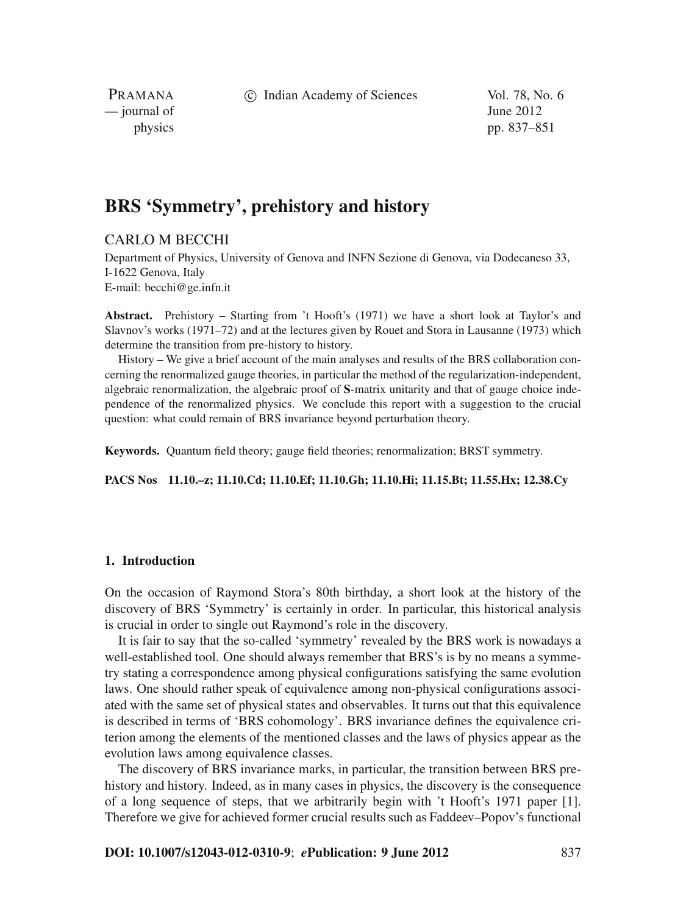c Indian Academy of Sciences Vol. 78, No. 6

PRAMANA  $\frac{1}{2}$  journal of June 2012

physics pp. 837–851

# **BRS 'Symmetry', prehistory and history**

# CARLO M BECCHI

Department of Physics, University of Genova and INFN Sezione di Genova, via Dodecaneso 33, I-1622 Genova, Italy E-mail: becchi@ge.infn.it

**Abstract.** Prehistory – Starting from 't Hooft's (1971) we have a short look at Taylor's and Slavnov's works (1971–72) and at the lectures given by Rouet and Stora in Lausanne (1973) which determine the transition from pre-history to history.

History – We give a brief account of the main analyses and results of the BRS collaboration concerning the renormalized gauge theories, in particular the method of the regularization-independent, algebraic renormalization, the algebraic proof of **S**-matrix unitarity and that of gauge choice independence of the renormalized physics. We conclude this report with a suggestion to the crucial question: what could remain of BRS invariance beyond perturbation theory.

**Keywords.** Quantum field theory; gauge field theories; renormalization; BRST symmetry.

#### **PACS Nos 11.10.–z; 11.10.Cd; 11.10.Ef; 11.10.Gh; 11.10.Hi; 11.15.Bt; 11.55.Hx; 12.38.Cy**

## **1. Introduction**

On the occasion of Raymond Stora's 80th birthday, a short look at the history of the discovery of BRS 'Symmetry' is certainly in order. In particular, this historical analysis is crucial in order to single out Raymond's role in the discovery.

It is fair to say that the so-called 'symmetry' revealed by the BRS work is nowadays a well-established tool. One should always remember that BRS's is by no means a symmetry stating a correspondence among physical configurations satisfying the same evolution laws. One should rather speak of equivalence among non-physical configurations associated with the same set of physical states and observables. It turns out that this equivalence is described in terms of 'BRS cohomology'. BRS invariance defines the equivalence criterion among the elements of the mentioned classes and the laws of physics appear as the evolution laws among equivalence classes.

The discovery of BRS invariance marks, in particular, the transition between BRS prehistory and history. Indeed, as in many cases in physics, the discovery is the consequence of a long sequence of steps, that we arbitrarily begin with 't Hooft's 1971 paper [1]. Therefore we give for achieved former crucial results such as Faddeev–Popov's functional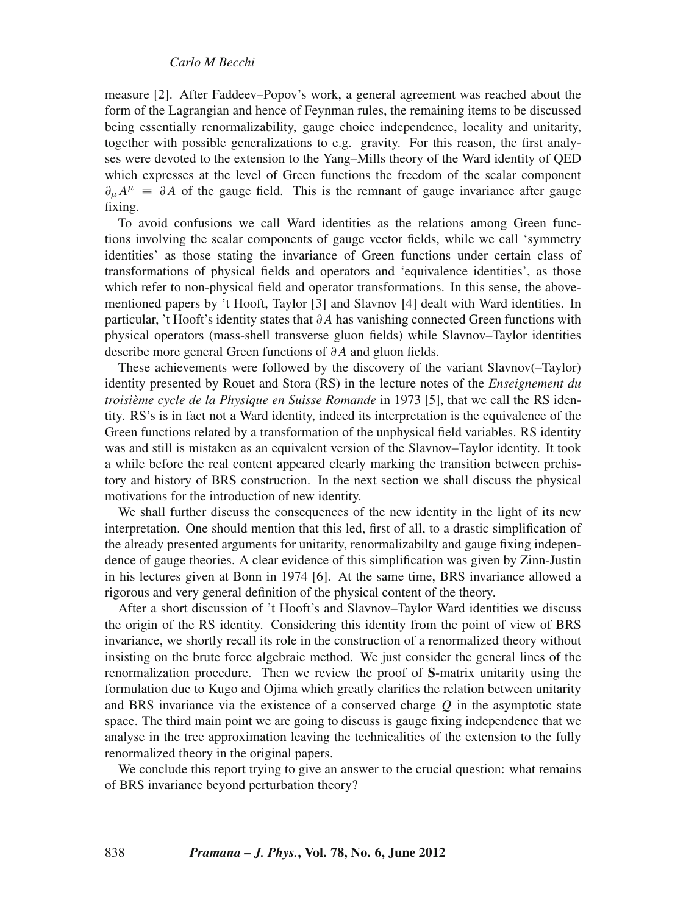measure [2]. After Faddeev–Popov's work, a general agreement was reached about the form of the Lagrangian and hence of Feynman rules, the remaining items to be discussed being essentially renormalizability, gauge choice independence, locality and unitarity, together with possible generalizations to e.g. gravity. For this reason, the first analyses were devoted to the extension to the Yang–Mills theory of the Ward identity of QED which expresses at the level of Green functions the freedom of the scalar component  $\partial_{\mu} A^{\mu} = \partial A$  of the gauge field. This is the remnant of gauge invariance after gauge fixing.

To avoid confusions we call Ward identities as the relations among Green functions involving the scalar components of gauge vector fields, while we call 'symmetry identities' as those stating the invariance of Green functions under certain class of transformations of physical fields and operators and 'equivalence identities', as those which refer to non-physical field and operator transformations. In this sense, the abovementioned papers by 't Hooft, Taylor [3] and Slavnov [4] dealt with Ward identities. In particular, 't Hooft's identity states that ∂ *A* has vanishing connected Green functions with physical operators (mass-shell transverse gluon fields) while Slavnov–Taylor identities describe more general Green functions of ∂ *A* and gluon fields.

These achievements were followed by the discovery of the variant Slavnov(–Taylor) identity presented by Rouet and Stora (RS) in the lecture notes of the *Enseignement du troisième cycle de la Physique en Suisse Romande* in 1973 [5], that we call the RS identity. RS's is in fact not a Ward identity, indeed its interpretation is the equivalence of the Green functions related by a transformation of the unphysical field variables. RS identity was and still is mistaken as an equivalent version of the Slavnov–Taylor identity. It took a while before the real content appeared clearly marking the transition between prehistory and history of BRS construction. In the next section we shall discuss the physical motivations for the introduction of new identity.

We shall further discuss the consequences of the new identity in the light of its new interpretation. One should mention that this led, first of all, to a drastic simplification of the already presented arguments for unitarity, renormalizabilty and gauge fixing independence of gauge theories. A clear evidence of this simplification was given by Zinn-Justin in his lectures given at Bonn in 1974 [6]. At the same time, BRS invariance allowed a rigorous and very general definition of the physical content of the theory.

After a short discussion of 't Hooft's and Slavnov–Taylor Ward identities we discuss the origin of the RS identity. Considering this identity from the point of view of BRS invariance, we shortly recall its role in the construction of a renormalized theory without insisting on the brute force algebraic method. We just consider the general lines of the renormalization procedure. Then we review the proof of **S**-matrix unitarity using the formulation due to Kugo and Ojima which greatly clarifies the relation between unitarity and BRS invariance via the existence of a conserved charge *Q* in the asymptotic state space. The third main point we are going to discuss is gauge fixing independence that we analyse in the tree approximation leaving the technicalities of the extension to the fully renormalized theory in the original papers.

We conclude this report trying to give an answer to the crucial question: what remains of BRS invariance beyond perturbation theory?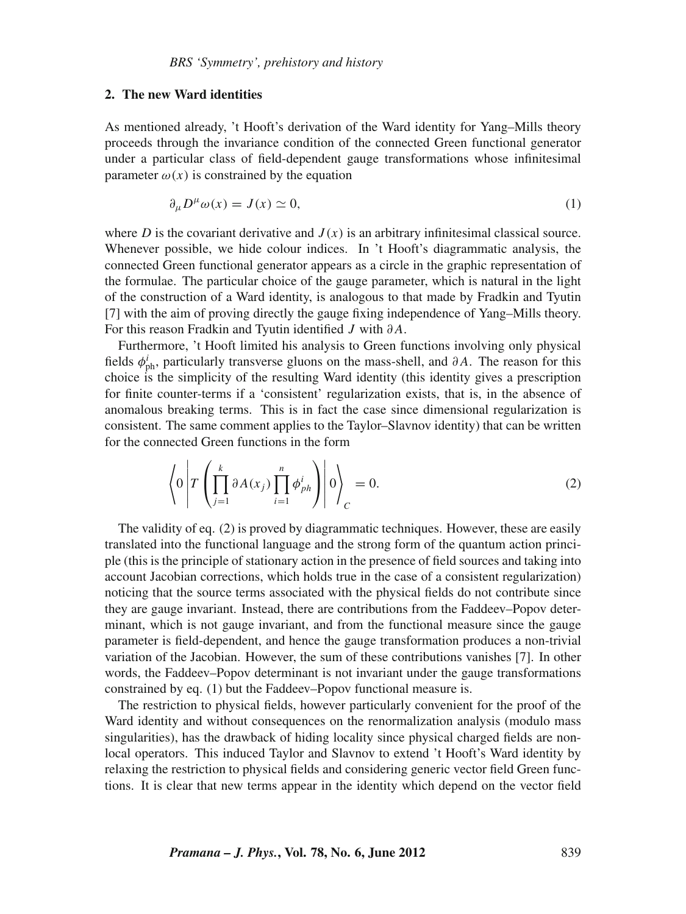#### **2. The new Ward identities**

As mentioned already, 't Hooft's derivation of the Ward identity for Yang–Mills theory proceeds through the invariance condition of the connected Green functional generator under a particular class of field-dependent gauge transformations whose infinitesimal parameter  $\omega(x)$  is constrained by the equation

$$
\partial_{\mu}D^{\mu}\omega(x) = J(x) \simeq 0,\tag{1}
$$

where *D* is the covariant derivative and  $J(x)$  is an arbitrary infinitesimal classical source. Whenever possible, we hide colour indices. In 't Hooft's diagrammatic analysis, the connected Green functional generator appears as a circle in the graphic representation of the formulae. The particular choice of the gauge parameter, which is natural in the light of the construction of a Ward identity, is analogous to that made by Fradkin and Tyutin [7] with the aim of proving directly the gauge fixing independence of Yang–Mills theory. For this reason Fradkin and Tyutin identified *J* with ∂ *A*.

Furthermore, 't Hooft limited his analysis to Green functions involving only physical fields  $\phi_{ph}^i$ , particularly transverse gluons on the mass-shell, and ∂*A*. The reason for this choice is the simplicity of the resulting Ward identity (this identity gives a prescription for finite counter-terms if a 'consistent' regularization exists, that is, in the absence of anomalous breaking terms. This is in fact the case since dimensional regularization is consistent. The same comment applies to the Taylor–Slavnov identity) that can be written for the connected Green functions in the form

$$
\left\langle 0 \left| T \left( \prod_{j=1}^{k} \partial A(x_j) \prod_{i=1}^{n} \phi_{ph}^{i} \right) \right| 0 \right\rangle_C = 0.
$$
 (2)

The validity of eq. (2) is proved by diagrammatic techniques. However, these are easily translated into the functional language and the strong form of the quantum action principle (this is the principle of stationary action in the presence of field sources and taking into account Jacobian corrections, which holds true in the case of a consistent regularization) noticing that the source terms associated with the physical fields do not contribute since they are gauge invariant. Instead, there are contributions from the Faddeev–Popov determinant, which is not gauge invariant, and from the functional measure since the gauge parameter is field-dependent, and hence the gauge transformation produces a non-trivial variation of the Jacobian. However, the sum of these contributions vanishes [7]. In other words, the Faddeev–Popov determinant is not invariant under the gauge transformations constrained by eq. (1) but the Faddeev–Popov functional measure is.

The restriction to physical fields, however particularly convenient for the proof of the Ward identity and without consequences on the renormalization analysis (modulo mass singularities), has the drawback of hiding locality since physical charged fields are nonlocal operators. This induced Taylor and Slavnov to extend 't Hooft's Ward identity by relaxing the restriction to physical fields and considering generic vector field Green functions. It is clear that new terms appear in the identity which depend on the vector field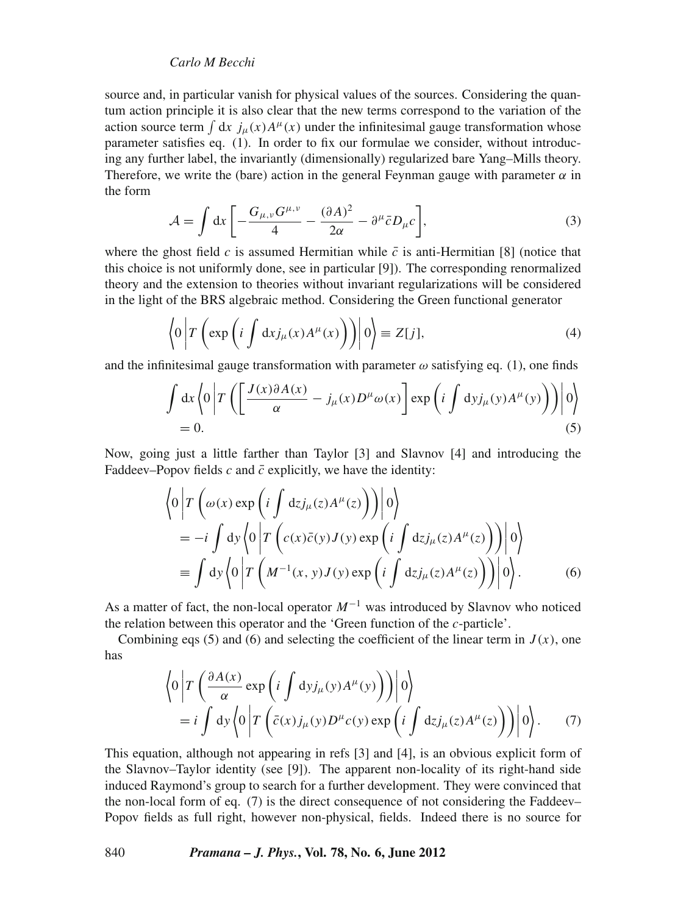source and, in particular vanish for physical values of the sources. Considering the quantum action principle it is also clear that the new terms correspond to the variation of the action source term  $\int dx j_\mu(x) A^\mu(x)$  under the infinitesimal gauge transformation whose parameter satisfies eq. (1). In order to fix our formulae we consider, without introducing any further label, the invariantly (dimensionally) regularized bare Yang–Mills theory. Therefore, we write the (bare) action in the general Feynman gauge with parameter  $\alpha$  in the form

$$
\mathcal{A} = \int dx \left[ -\frac{G_{\mu,\nu} G^{\mu,\nu}}{4} - \frac{(\partial A)^2}{2\alpha} - \partial^{\mu} \bar{c} D_{\mu} c \right],\tag{3}
$$

where the ghost field  $c$  is assumed Hermitian while  $\bar{c}$  is anti-Hermitian [8] (notice that this choice is not uniformly done, see in particular [9]). The corresponding renormalized theory and the extension to theories without invariant regularizations will be considered in the light of the BRS algebraic method. Considering the Green functional generator

$$
\left\langle 0 \left| T \left( \exp \left( i \int dx j_{\mu}(x) A^{\mu}(x) \right) \right) \right| 0 \right\rangle \equiv Z[j], \tag{4}
$$

and the infinitesimal gauge transformation with parameter  $\omega$  satisfying eq. (1), one finds

$$
\int dx \left\langle 0 \left| T \left( \left[ \frac{J(x) \partial A(x)}{\alpha} - j_{\mu}(x) D^{\mu} \omega(x) \right] \exp \left( i \int dy j_{\mu}(y) A^{\mu}(y) \right) \right) \right| 0 \right\rangle
$$
  
= 0. (5)

Now, going just a little farther than Taylor [3] and Slavnov [4] and introducing the Faddeev–Popov fields  $c$  and  $\bar{c}$  explicitly, we have the identity:

$$
\langle 0 | T (\omega(x) \exp \left( i \int dz j_{\mu}(z) A^{\mu}(z) \right) ) | 0 \rangle
$$
  
=  $-i \int dy \langle 0 | T (\mathfrak{c}(x) \bar{\mathfrak{c}}(y) J(y) \exp \left( i \int dz j_{\mu}(z) A^{\mu}(z) \right) ) | 0 \rangle$   
=  $\int dy \langle 0 | T (\mathfrak{M}^{-1}(x, y) J(y) \exp \left( i \int dz j_{\mu}(z) A^{\mu}(z) \right) ) | 0 \rangle.$  (6)

As a matter of fact, the non-local operator *M*<sup>−</sup><sup>1</sup> was introduced by Slavnov who noticed the relation between this operator and the 'Green function of the *c*-particle'.

Combining eqs (5) and (6) and selecting the coefficient of the linear term in  $J(x)$ , one has

$$
\left\langle 0 \left| T \left( \frac{\partial A(x)}{\alpha} \exp \left( i \int dy j_{\mu}(y) A^{\mu}(y) \right) \right) \right| 0 \right\rangle
$$
  
=  $i \int dy \left\langle 0 \left| T \left( \bar{c}(x) j_{\mu}(y) D^{\mu} c(y) \exp \left( i \int dz j_{\mu}(z) A^{\mu}(z) \right) \right) \right| 0 \right\rangle.$  (7)

This equation, although not appearing in refs [3] and [4], is an obvious explicit form of the Slavnov–Taylor identity (see [9]). The apparent non-locality of its right-hand side induced Raymond's group to search for a further development. They were convinced that the non-local form of eq. (7) is the direct consequence of not considering the Faddeev– Popov fields as full right, however non-physical, fields. Indeed there is no source for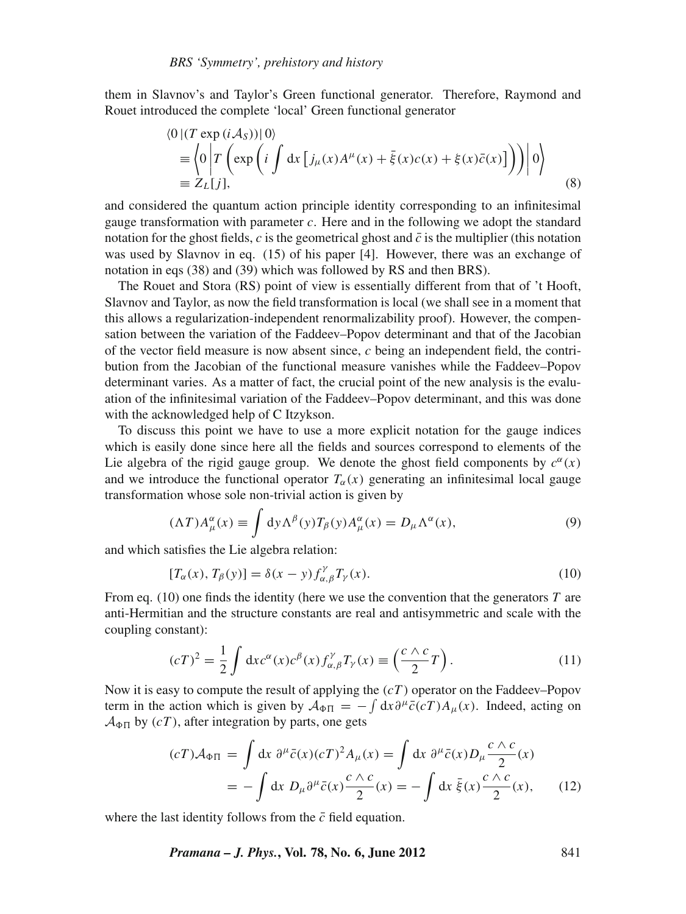them in Slavnov's and Taylor's Green functional generator. Therefore, Raymond and Rouet introduced the complete 'local' Green functional generator

$$
\langle 0 | (T \exp(i\mathcal{A}_S)) | 0 \rangle
$$
  
\n
$$
\equiv \left\langle 0 \left| T \left( \exp\left(i \int \mathrm{d}x \left[ j_\mu(x) A^\mu(x) + \bar{\xi}(x) c(x) + \xi(x) \bar{c}(x) \right] \right) \right) \right| 0 \right\rangle
$$
  
\n
$$
\equiv Z_L[j], \tag{8}
$$

and considered the quantum action principle identity corresponding to an infinitesimal gauge transformation with parameter *c*. Here and in the following we adopt the standard notation for the ghost fields, *c* is the geometrical ghost and  $\bar{c}$  is the multiplier (this notation was used by Slavnov in eq. (15) of his paper [4]. However, there was an exchange of notation in eqs (38) and (39) which was followed by RS and then BRS).

The Rouet and Stora (RS) point of view is essentially different from that of 't Hooft, Slavnov and Taylor, as now the field transformation is local (we shall see in a moment that this allows a regularization-independent renormalizability proof). However, the compensation between the variation of the Faddeev–Popov determinant and that of the Jacobian of the vector field measure is now absent since, *c* being an independent field, the contribution from the Jacobian of the functional measure vanishes while the Faddeev–Popov determinant varies. As a matter of fact, the crucial point of the new analysis is the evaluation of the infinitesimal variation of the Faddeev–Popov determinant, and this was done with the acknowledged help of C Itzykson.

To discuss this point we have to use a more explicit notation for the gauge indices which is easily done since here all the fields and sources correspond to elements of the Lie algebra of the rigid gauge group. We denote the ghost field components by  $c^{\alpha}(x)$ and we introduce the functional operator  $T_{\alpha}(x)$  generating an infinitesimal local gauge transformation whose sole non-trivial action is given by

$$
(\Lambda T)A^{\alpha}_{\mu}(x) \equiv \int dy \Lambda^{\beta}(y)T_{\beta}(y)A^{\alpha}_{\mu}(x) = D_{\mu}\Lambda^{\alpha}(x), \tag{9}
$$

and which satisfies the Lie algebra relation:

$$
[T_{\alpha}(x), T_{\beta}(y)] = \delta(x - y) f_{\alpha, \beta}^{\gamma} T_{\gamma}(x).
$$
\n(10)

From eq. (10) one finds the identity (here we use the convention that the generators *T* are anti-Hermitian and the structure constants are real and antisymmetric and scale with the coupling constant):

$$
(cT)^2 = \frac{1}{2} \int \mathrm{d}x c^{\alpha}(x) c^{\beta}(x) f_{\alpha,\beta}^{\gamma} T_{\gamma}(x) \equiv \left(\frac{c \wedge c}{2} T\right). \tag{11}
$$

Now it is easy to compute the result of applying the (*cT* ) operator on the Faddeev–Popov term in the action which is given by  $A_{\Phi\Pi} = -\int dx \partial^{\mu} \bar{c}(cT) A_{\mu}(x)$ . Indeed, acting on  $\mathcal{A}_{\Phi\Pi}$  by (*cT*), after integration by parts, one gets

$$
(cT)\mathcal{A}_{\Phi\Pi} = \int dx \; \partial^{\mu}\bar{c}(x)(cT)^{2}A_{\mu}(x) = \int dx \; \partial^{\mu}\bar{c}(x)D_{\mu}\frac{c \wedge c}{2}(x)
$$

$$
= -\int dx \; D_{\mu}\partial^{\mu}\bar{c}(x)\frac{c \wedge c}{2}(x) = -\int dx \; \bar{\xi}(x)\frac{c \wedge c}{2}(x), \qquad (12)
$$

where the last identity follows from the  $\bar{c}$  field equation.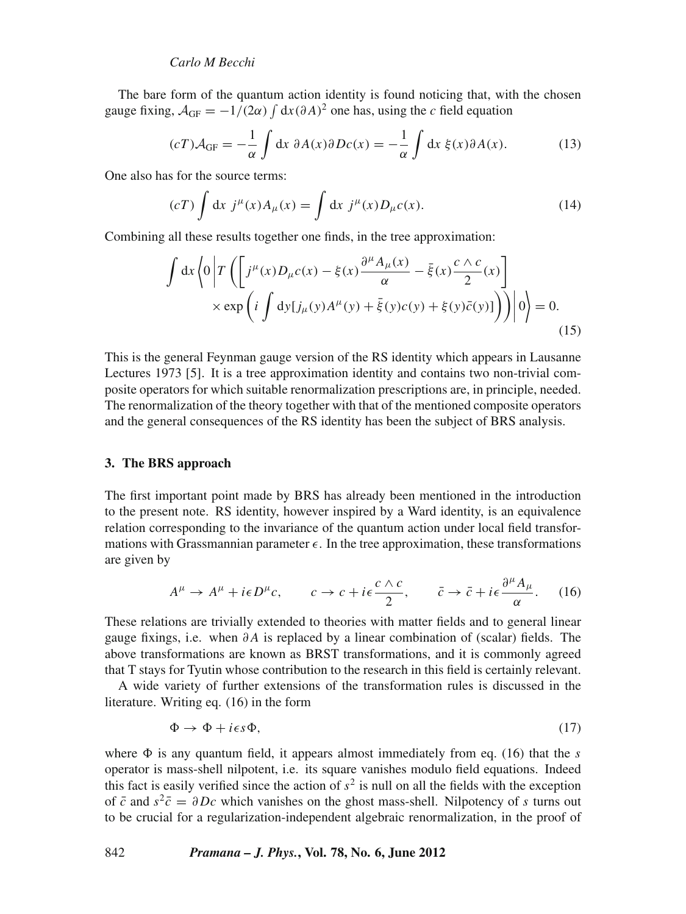The bare form of the quantum action identity is found noticing that, with the chosen gauge fixing,  $A_{GF} = -1/(2\alpha) \int dx (\partial A)^2$  one has, using the *c* field equation

$$
(cT)\mathcal{A}_{GF} = -\frac{1}{\alpha} \int dx \ \partial A(x) \partial Dc(x) = -\frac{1}{\alpha} \int dx \ \xi(x) \partial A(x). \tag{13}
$$

One also has for the source terms:

$$
(cT)\int dx j^{\mu}(x)A_{\mu}(x) = \int dx j^{\mu}(x)D_{\mu}c(x).
$$
 (14)

Combining all these results together one finds, in the tree approximation:

$$
\int dx \left\langle 0 \left| T \left( \left[ j^{\mu}(x) D_{\mu} c(x) - \xi(x) \frac{\partial^{\mu} A_{\mu}(x)}{\alpha} - \bar{\xi}(x) \frac{c \wedge c}{2}(x) \right] \right. \right. \right. \times \exp \left( i \int dy [j_{\mu}(y) A^{\mu}(y) + \bar{\xi}(y) c(y) + \xi(y) \bar{c}(y)] \right) \right) \left| 0 \right\rangle = 0.
$$
\n(15)

This is the general Feynman gauge version of the RS identity which appears in Lausanne Lectures 1973 [5]. It is a tree approximation identity and contains two non-trivial composite operators for which suitable renormalization prescriptions are, in principle, needed. The renormalization of the theory together with that of the mentioned composite operators and the general consequences of the RS identity has been the subject of BRS analysis.

### **3. The BRS approach**

The first important point made by BRS has already been mentioned in the introduction to the present note. RS identity, however inspired by a Ward identity, is an equivalence relation corresponding to the invariance of the quantum action under local field transformations with Grassmannian parameter  $\epsilon$ . In the tree approximation, these transformations are given by

$$
A^{\mu} \to A^{\mu} + i\epsilon D^{\mu} c, \qquad c \to c + i\epsilon \frac{c \wedge c}{2}, \qquad \bar{c} \to \bar{c} + i\epsilon \frac{\partial^{\mu} A_{\mu}}{\alpha}. \tag{16}
$$

These relations are trivially extended to theories with matter fields and to general linear gauge fixings, i.e. when  $\partial A$  is replaced by a linear combination of (scalar) fields. The above transformations are known as BRST transformations, and it is commonly agreed that T stays for Tyutin whose contribution to the research in this field is certainly relevant.

A wide variety of further extensions of the transformation rules is discussed in the literature. Writing eq. (16) in the form

$$
\Phi \to \Phi + i\epsilon s \Phi, \tag{17}
$$

where  $\Phi$  is any quantum field, it appears almost immediately from eq. (16) that the *s* operator is mass-shell nilpotent, i.e. its square vanishes modulo field equations. Indeed this fact is easily verified since the action of  $s<sup>2</sup>$  is null on all the fields with the exception of  $\bar{c}$  and  $s^2\bar{c} = \partial Dc$  which vanishes on the ghost mass-shell. Nilpotency of *s* turns out to be crucial for a regularization-independent algebraic renormalization, in the proof of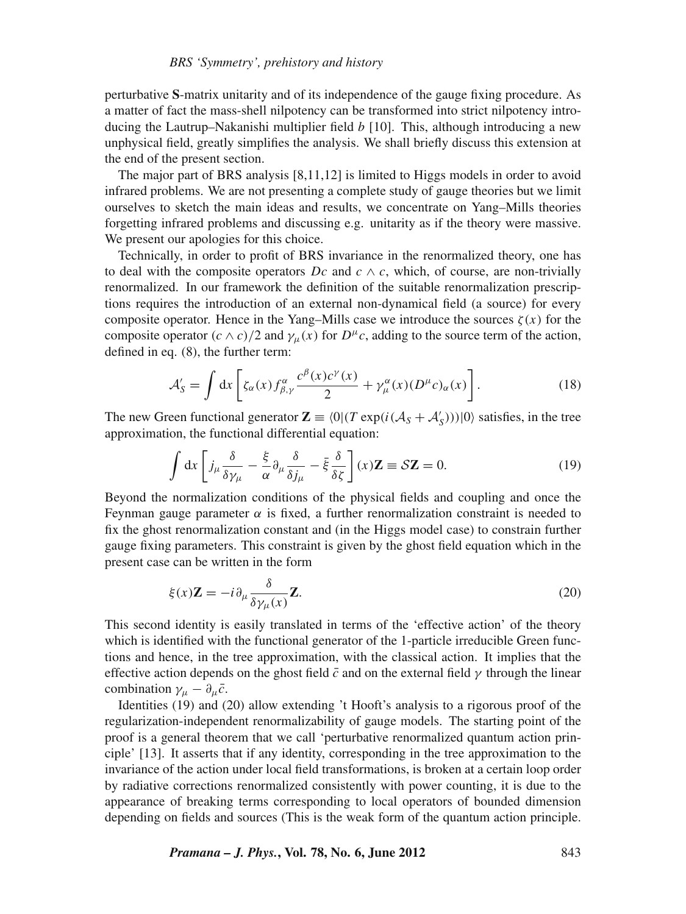perturbative **S**-matrix unitarity and of its independence of the gauge fixing procedure. As a matter of fact the mass-shell nilpotency can be transformed into strict nilpotency introducing the Lautrup–Nakanishi multiplier field *b* [10]. This, although introducing a new unphysical field, greatly simplifies the analysis. We shall briefly discuss this extension at the end of the present section.

The major part of BRS analysis [8,11,12] is limited to Higgs models in order to avoid infrared problems. We are not presenting a complete study of gauge theories but we limit ourselves to sketch the main ideas and results, we concentrate on Yang–Mills theories forgetting infrared problems and discussing e.g. unitarity as if the theory were massive. We present our apologies for this choice.

Technically, in order to profit of BRS invariance in the renormalized theory, one has to deal with the composite operators  $Dc$  and  $c \wedge c$ , which, of course, are non-trivially renormalized. In our framework the definition of the suitable renormalization prescriptions requires the introduction of an external non-dynamical field (a source) for every composite operator. Hence in the Yang–Mills case we introduce the sources  $\zeta(x)$  for the composite operator  $(c \wedge c)/2$  and  $\gamma_\mu(x)$  for  $D^\mu c$ , adding to the source term of the action, defined in eq. (8), the further term:

$$
\mathcal{A}'_S = \int dx \left[ \zeta_\alpha(x) f^\alpha_{\beta,\gamma} \frac{c^\beta(x) c^\gamma(x)}{2} + \gamma_\mu^\alpha(x) (D^\mu c)_\alpha(x) \right]. \tag{18}
$$

The new Green functional generator  $\mathbf{Z} \equiv \langle 0 | (T \exp(i(\mathcal{A}_s + \mathcal{A}'_s))) | 0 \rangle$  satisfies, in the tree approximation, the functional differential equation:

$$
\int dx \left[ j_{\mu} \frac{\delta}{\delta \gamma_{\mu}} - \frac{\xi}{\alpha} \partial_{\mu} \frac{\delta}{\delta j_{\mu}} - \bar{\xi} \frac{\delta}{\delta \zeta} \right] (x) \mathbf{Z} \equiv \mathcal{S} \mathbf{Z} = 0.
$$
 (19)

Beyond the normalization conditions of the physical fields and coupling and once the Feynman gauge parameter  $\alpha$  is fixed, a further renormalization constraint is needed to fix the ghost renormalization constant and (in the Higgs model case) to constrain further gauge fixing parameters. This constraint is given by the ghost field equation which in the present case can be written in the form

$$
\xi(x)\mathbf{Z} = -i\partial_{\mu}\frac{\delta}{\delta\gamma_{\mu}(x)}\mathbf{Z}.
$$
 (20)

This second identity is easily translated in terms of the 'effective action' of the theory which is identified with the functional generator of the 1-particle irreducible Green functions and hence, in the tree approximation, with the classical action. It implies that the effective action depends on the ghost field  $\bar{c}$  and on the external field  $\gamma$  through the linear combination  $\gamma_\mu - \partial_\mu \bar{c}$ .

Identities (19) and (20) allow extending 't Hooft's analysis to a rigorous proof of the regularization-independent renormalizability of gauge models. The starting point of the proof is a general theorem that we call 'perturbative renormalized quantum action principle' [13]. It asserts that if any identity, corresponding in the tree approximation to the invariance of the action under local field transformations, is broken at a certain loop order by radiative corrections renormalized consistently with power counting, it is due to the appearance of breaking terms corresponding to local operators of bounded dimension depending on fields and sources (This is the weak form of the quantum action principle.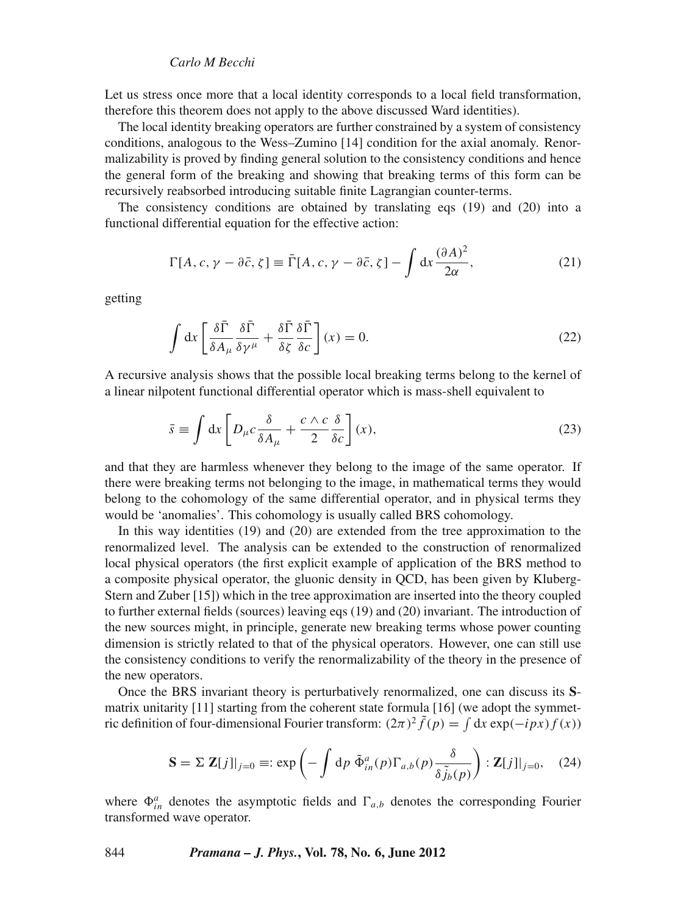Let us stress once more that a local identity corresponds to a local field transformation, therefore this theorem does not apply to the above discussed Ward identities).

The local identity breaking operators are further constrained by a system of consistency conditions, analogous to the Wess–Zumino [14] condition for the axial anomaly. Renormalizability is proved by finding general solution to the consistency conditions and hence the general form of the breaking and showing that breaking terms of this form can be recursively reabsorbed introducing suitable finite Lagrangian counter-terms.

The consistency conditions are obtained by translating eqs (19) and (20) into a functional differential equation for the effective action:

$$
\Gamma[A, c, \gamma - \partial \bar{c}, \zeta] \equiv \bar{\Gamma}[A, c, \gamma - \partial \bar{c}, \zeta] - \int \mathrm{d}x \frac{(\partial A)^2}{2\alpha},\tag{21}
$$

getting

$$
\int dx \left[ \frac{\delta \bar{\Gamma}}{\delta A_{\mu}} \frac{\delta \bar{\Gamma}}{\delta \gamma^{\mu}} + \frac{\delta \bar{\Gamma}}{\delta \zeta} \frac{\delta \bar{\Gamma}}{\delta c} \right] (x) = 0.
$$
 (22)

A recursive analysis shows that the possible local breaking terms belong to the kernel of a linear nilpotent functional differential operator which is mass-shell equivalent to

$$
\bar{s} \equiv \int dx \left[ D_{\mu} c \frac{\delta}{\delta A_{\mu}} + \frac{c \wedge c}{2} \frac{\delta}{\delta c} \right] (x), \tag{23}
$$

and that they are harmless whenever they belong to the image of the same operator. If there were breaking terms not belonging to the image, in mathematical terms they would belong to the cohomology of the same differential operator, and in physical terms they would be 'anomalies'. This cohomology is usually called BRS cohomology.

In this way identities (19) and (20) are extended from the tree approximation to the renormalized level. The analysis can be extended to the construction of renormalized local physical operators (the first explicit example of application of the BRS method to a composite physical operator, the gluonic density in QCD, has been given by Kluberg-Stern and Zuber [15]) which in the tree approximation are inserted into the theory coupled to further external fields (sources) leaving eqs (19) and (20) invariant. The introduction of the new sources might, in principle, generate new breaking terms whose power counting dimension is strictly related to that of the physical operators. However, one can still use the consistency conditions to verify the renormalizability of the theory in the presence of the new operators.

Once the BRS invariant theory is perturbatively renormalized, one can discuss its **S**matrix unitarity [11] starting from the coherent state formula [16] (we adopt the symmetric definition of four-dimensional Fourier transform:  $(2\pi)^2 \tilde{f}(p) = \int dx \exp(-ipx) f(x)$ 

$$
\mathbf{S} = \Sigma \mathbf{Z}[j]|_{j=0} \equiv: \exp\left(-\int \mathrm{d}p \; \tilde{\Phi}_{in}^a(p)\Gamma_{a,b}(p)\frac{\delta}{\delta \tilde{j}_b(p)}\right) : \mathbf{Z}[j]|_{j=0}, \quad (24)
$$

where  $\Phi_{in}^a$  denotes the asymptotic fields and  $\Gamma_{a,b}$  denotes the corresponding Fourier transformed wave operator.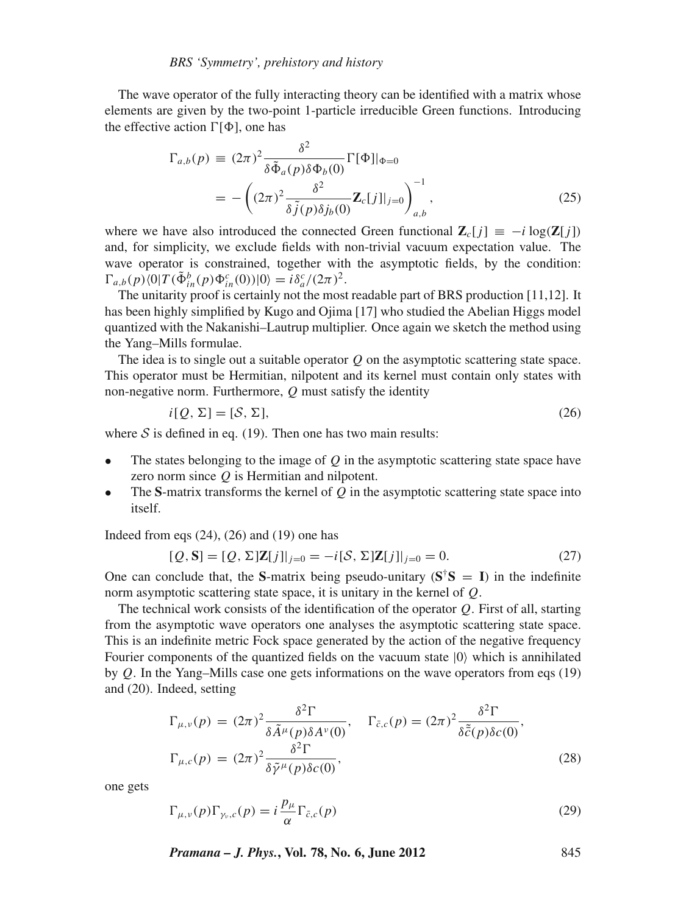#### *BRS 'Symmetry', prehistory and history*

The wave operator of the fully interacting theory can be identified with a matrix whose elements are given by the two-point 1-particle irreducible Green functions. Introducing the effective action  $\Gamma[\Phi]$ , one has

$$
\Gamma_{a,b}(p) \equiv (2\pi)^2 \frac{\delta^2}{\delta \tilde{\Phi}_a(p) \delta \Phi_b(0)} \Gamma[\Phi] |_{\Phi=0}
$$
  
= 
$$
- \left( (2\pi)^2 \frac{\delta^2}{\delta \tilde{j}(p) \delta j_b(0)} \mathbf{Z}_c[j] |_{j=0} \right)_{a,b}^{-1},
$$
 (25)

where we have also introduced the connected Green functional  $\mathbf{Z}_c[j] \equiv -i \log(\mathbf{Z}[j])$ and, for simplicity, we exclude fields with non-trivial vacuum expectation value. The wave operator is constrained, together with the asymptotic fields, by the condition:  $\Gamma_{a,b}(p) \langle 0|T(\tilde{\Phi}_{in}^{b}(p)\Phi_{in}^{c}(0))|0\rangle = i\delta_{a}^{c}/(2\pi)^{2}.$ 

The unitarity proof is certainly not the most readable part of BRS production [11,12]. It has been highly simplified by Kugo and Ojima [17] who studied the Abelian Higgs model quantized with the Nakanishi–Lautrup multiplier. Once again we sketch the method using the Yang–Mills formulae.

The idea is to single out a suitable operator *Q* on the asymptotic scattering state space. This operator must be Hermitian, nilpotent and its kernel must contain only states with non-negative norm. Furthermore, *Q* must satisfy the identity

$$
i[Q, \Sigma] = [\mathcal{S}, \Sigma],\tag{26}
$$

where  $S$  is defined in eq. (19). Then one has two main results:

- The states belonging to the image of  $Q$  in the asymptotic scattering state space have zero norm since *Q* is Hermitian and nilpotent.
- The **S**-matrix transforms the kernel of *Q* in the asymptotic scattering state space into itself.

Indeed from eqs  $(24)$ ,  $(26)$  and  $(19)$  one has

$$
[Q, \mathbf{S}] = [Q, \Sigma] \mathbf{Z}[j]|_{j=0} = -i[\mathcal{S}, \Sigma] \mathbf{Z}[j]|_{j=0} = 0.
$$
 (27)

One can conclude that, the **S**-matrix being pseudo-unitary  $(S^{\dagger}S = I)$  in the indefinite norm asymptotic scattering state space, it is unitary in the kernel of *Q*.

The technical work consists of the identification of the operator *Q*. First of all, starting from the asymptotic wave operators one analyses the asymptotic scattering state space. This is an indefinite metric Fock space generated by the action of the negative frequency Fourier components of the quantized fields on the vacuum state  $|0\rangle$  which is annihilated by *Q*. In the Yang–Mills case one gets informations on the wave operators from eqs (19) and (20). Indeed, setting

$$
\Gamma_{\mu,\nu}(p) = (2\pi)^2 \frac{\delta^2 \Gamma}{\delta \tilde{A}^{\mu}(p)\delta A^{\nu}(0)}, \quad \Gamma_{\tilde{c},c}(p) = (2\pi)^2 \frac{\delta^2 \Gamma}{\delta \tilde{\tilde{c}}(p)\delta c(0)},
$$
\n
$$
\Gamma_{\mu,c}(p) = (2\pi)^2 \frac{\delta^2 \Gamma}{\delta \tilde{\gamma}^{\mu}(p)\delta c(0)},
$$
\n(28)

one gets

$$
\Gamma_{\mu,\nu}(p)\Gamma_{\gamma_{\nu},c}(p) = i\frac{p_{\mu}}{\alpha}\Gamma_{\bar{c},c}(p)
$$
\n(29)

*Pramana – J. Phys.***, Vol. 78, No. 6, June 2012** 845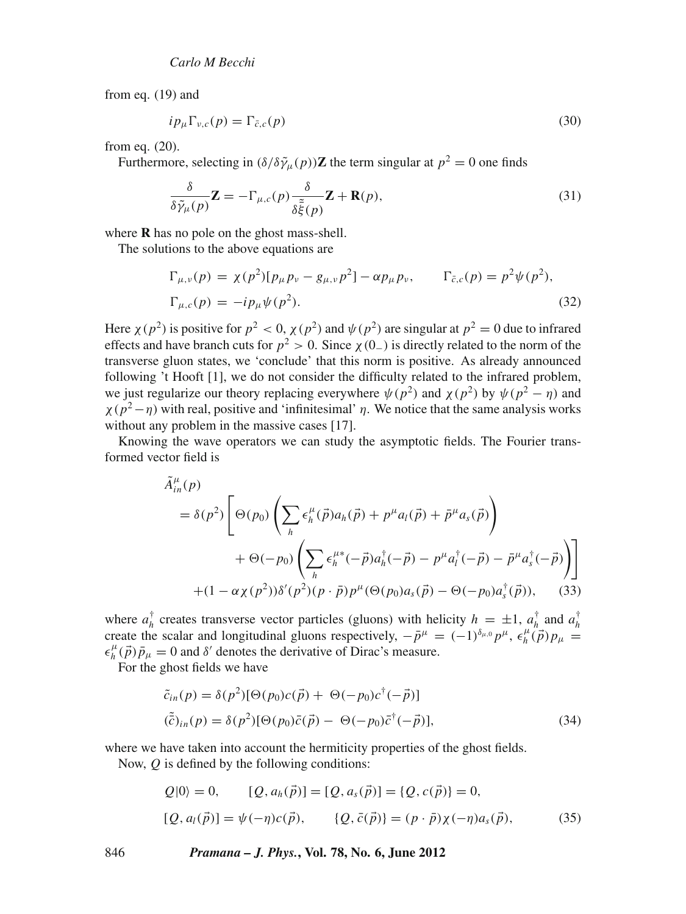from eq. (19) and

$$
ip_{\mu}\Gamma_{\nu,c}(p) = \Gamma_{\bar{c},c}(p)
$$
\n(30)

from eq. (20).

Furthermore, selecting in  $(\delta/\delta \tilde{\gamma}_{\mu}(p))\mathbf{Z}$  the term singular at  $p^2 = 0$  one finds

$$
\frac{\delta}{\delta \tilde{\gamma}_{\mu}(p)} \mathbf{Z} = -\Gamma_{\mu,c}(p) \frac{\delta}{\delta \tilde{\tilde{\xi}}(p)} \mathbf{Z} + \mathbf{R}(p),\tag{31}
$$

where **R** has no pole on the ghost mass-shell.

The solutions to the above equations are

$$
\Gamma_{\mu,\nu}(p) = \chi(p^2)[p_{\mu}p_{\nu} - g_{\mu,\nu}p^2] - \alpha p_{\mu}p_{\nu}, \qquad \Gamma_{\bar{c},c}(p) = p^2 \psi(p^2),
$$
  
\n
$$
\Gamma_{\mu,c}(p) = -ip_{\mu}\psi(p^2).
$$
\n(32)

Here  $\chi(p^2)$  is positive for  $p^2 < 0$ ,  $\chi(p^2)$  and  $\psi(p^2)$  are singular at  $p^2 = 0$  due to infrared effects and have branch cuts for  $p^2 > 0$ . Since  $\chi(0_+)$  is directly related to the norm of the transverse gluon states, we 'conclude' that this norm is positive. As already announced following 't Hooft [1], we do not consider the difficulty related to the infrared problem, we just regularize our theory replacing everywhere  $\psi(p^2)$  and  $\chi(p^2)$  by  $\psi(p^2 - \eta)$  and  $\chi(p^2-\eta)$  with real, positive and 'infinitesimal'  $\eta$ . We notice that the same analysis works without any problem in the massive cases [17].

Knowing the wave operators we can study the asymptotic fields. The Fourier transformed vector field is

$$
\tilde{A}^{\mu}_{in}(p) = \delta(p^{2}) \left[ \Theta(p_{0}) \left( \sum_{h} \epsilon^{\mu}_{h}(\vec{p}) a_{h}(\vec{p}) + p^{\mu} a_{l}(\vec{p}) + \bar{p}^{\mu} a_{s}(\vec{p}) \right) + \Theta(-p_{0}) \left( \sum_{h} \epsilon^{\mu *}_{h}(-\vec{p}) a^{\dagger}_{h}(-\vec{p}) - p^{\mu} a^{\dagger}_{l}(-\vec{p}) - \bar{p}^{\mu} a^{\dagger}_{s}(-\vec{p}) \right) \right] + (1 - \alpha \chi(p^{2})) \delta'(p^{2}) (p \cdot \bar{p}) p^{\mu}(\Theta(p_{0}) a_{s}(\vec{p}) - \Theta(-p_{0}) a^{\dagger}_{s}(\vec{p})), \quad (33)
$$

where  $a_h^{\dagger}$  creates transverse vector particles (gluons) with helicity  $h = \pm 1$ ,  $a_h^{\dagger}$  and  $a_h^{\dagger}$ create the scalar and longitudinal gluons respectively,  $-\bar{p}^{\mu} = (-1)^{\delta_{\mu,0}} p^{\mu}, \epsilon_h^{\mu}(\vec{p}) p_{\mu} =$  $\epsilon_h^{\mu}(\vec{p})\bar{p}_{\mu} = 0$  and  $\delta'$  denotes the derivative of Dirac's measure.

For the ghost fields we have

$$
\tilde{c}_{in}(p) = \delta(p^2)[\Theta(p_0)c(\vec{p}) + \Theta(-p_0)c^{\dagger}(-\vec{p})]
$$
  
\n
$$
(\tilde{\bar{c}})_{in}(p) = \delta(p^2)[\Theta(p_0)\bar{c}(\vec{p}) - \Theta(-p_0)\bar{c}^{\dagger}(-\vec{p})],
$$
\n(34)

where we have taken into account the hermiticity properties of the ghost fields.

Now, *Q* is defined by the following conditions:

$$
Q|0\rangle = 0, \qquad [Q, a_h(\vec{p})] = [Q, a_s(\vec{p})] = \{Q, c(\vec{p})\} = 0,
$$
  

$$
[Q, a_l(\vec{p})] = \psi(-\eta)c(\vec{p}), \qquad \{Q, \bar{c}(\vec{p})\} = (p \cdot \bar{p})\chi(-\eta)a_s(\vec{p}),
$$
 (35)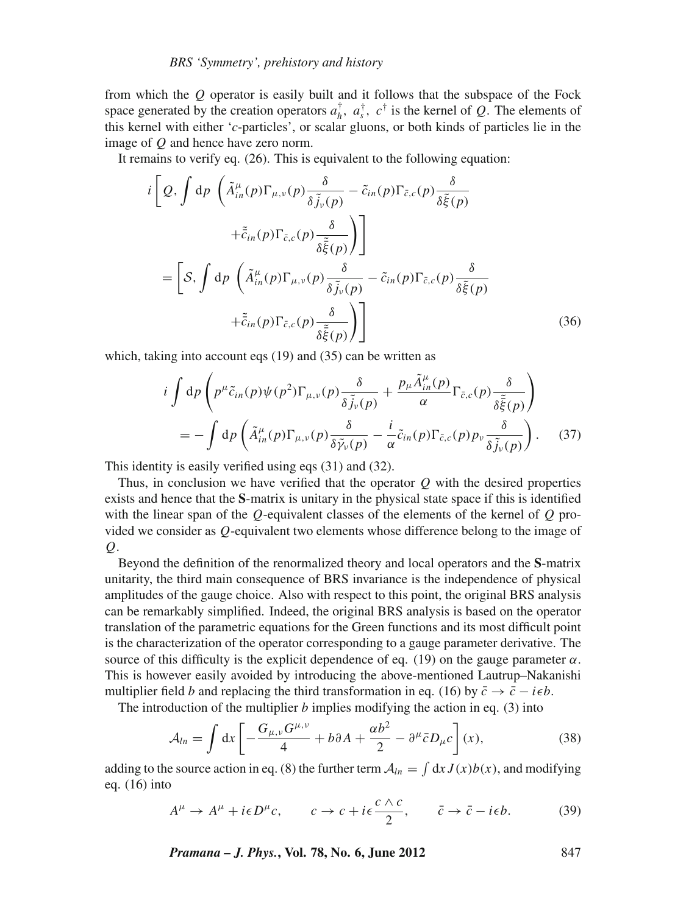from which the *Q* operator is easily built and it follows that the subspace of the Fock space generated by the creation operators  $a^{\dagger}_h$ ,  $a^{\dagger}_s$ ,  $c^{\dagger}$  is the kernel of *Q*. The elements of this kernel with either '*c*-particles', or scalar gluons, or both kinds of particles lie in the image of *Q* and hence have zero norm.

It remains to verify eq. (26). This is equivalent to the following equation:

$$
i\left[Q, \int dp \left(\tilde{A}^{\mu}_{in}(p)\Gamma_{\mu,\nu}(p)\frac{\delta}{\delta\tilde{j}_{\nu}(p)} - \tilde{c}_{in}(p)\Gamma_{\tilde{c},c}(p)\frac{\delta}{\delta\tilde{\xi}(p)}\right.\right.\left. + \tilde{c}_{in}(p)\Gamma_{\tilde{c},c}(p)\frac{\delta}{\delta\tilde{\xi}(p)}\right)\right]=\left[S, \int dp \left(\tilde{A}^{\mu}_{in}(p)\Gamma_{\mu,\nu}(p)\frac{\delta}{\delta\tilde{j}_{\nu}(p)} - \tilde{c}_{in}(p)\Gamma_{\tilde{c},c}(p)\frac{\delta}{\delta\tilde{\xi}(p)}\right.\left. + \tilde{c}_{in}(p)\Gamma_{\tilde{c},c}(p)\frac{\delta}{\delta\tilde{\xi}(p)}\right)\right]
$$
(36)

which, taking into account eqs (19) and (35) can be written as

$$
i \int d\rho \left( p^{\mu} \tilde{c}_{in}(p) \psi(p^2) \Gamma_{\mu,\nu}(p) \frac{\delta}{\delta \tilde{j}_{\nu}(p)} + \frac{p_{\mu} \tilde{A}_{in}^{\mu}(p)}{\alpha} \Gamma_{\tilde{c},c}(p) \frac{\delta}{\delta \tilde{\tilde{\xi}}(p)} \right)
$$
  
= 
$$
- \int d\rho \left( \tilde{A}_{in}^{\mu}(p) \Gamma_{\mu,\nu}(p) \frac{\delta}{\delta \tilde{\gamma}_{\nu}(p)} - \frac{i}{\alpha} \tilde{c}_{in}(p) \Gamma_{\tilde{c},c}(p) p_{\nu} \frac{\delta}{\delta \tilde{j}_{\nu}(p)} \right).
$$
 (37)

This identity is easily verified using eqs (31) and (32).

Thus, in conclusion we have verified that the operator *Q* with the desired properties exists and hence that the **S**-matrix is unitary in the physical state space if this is identified with the linear span of the *Q*-equivalent classes of the elements of the kernel of *Q* provided we consider as *Q*-equivalent two elements whose difference belong to the image of *Q*.

Beyond the definition of the renormalized theory and local operators and the **S**-matrix unitarity, the third main consequence of BRS invariance is the independence of physical amplitudes of the gauge choice. Also with respect to this point, the original BRS analysis can be remarkably simplified. Indeed, the original BRS analysis is based on the operator translation of the parametric equations for the Green functions and its most difficult point is the characterization of the operator corresponding to a gauge parameter derivative. The source of this difficulty is the explicit dependence of eq. (19) on the gauge parameter  $\alpha$ . This is however easily avoided by introducing the above-mentioned Lautrup–Nakanishi multiplier field *b* and replacing the third transformation in eq. (16) by  $\bar{c} \rightarrow \bar{c} - i\epsilon b$ .

The introduction of the multiplier  $b$  implies modifying the action in eq. (3) into

$$
\mathcal{A}_{ln} = \int \mathrm{d}x \left[ -\frac{G_{\mu,\nu} G^{\mu,\nu}}{4} + b \partial A + \frac{\alpha b^2}{2} - \partial^{\mu} \bar{c} D_{\mu} c \right] (x), \tag{38}
$$

adding to the source action in eq. (8) the further term  $A_{ln} = \int dx J(x)b(x)$ , and modifying eq. (16) into

$$
A^{\mu} \to A^{\mu} + i\epsilon D^{\mu} c, \qquad c \to c + i\epsilon \frac{c \wedge c}{2}, \qquad \bar{c} \to \bar{c} - i\epsilon b. \tag{39}
$$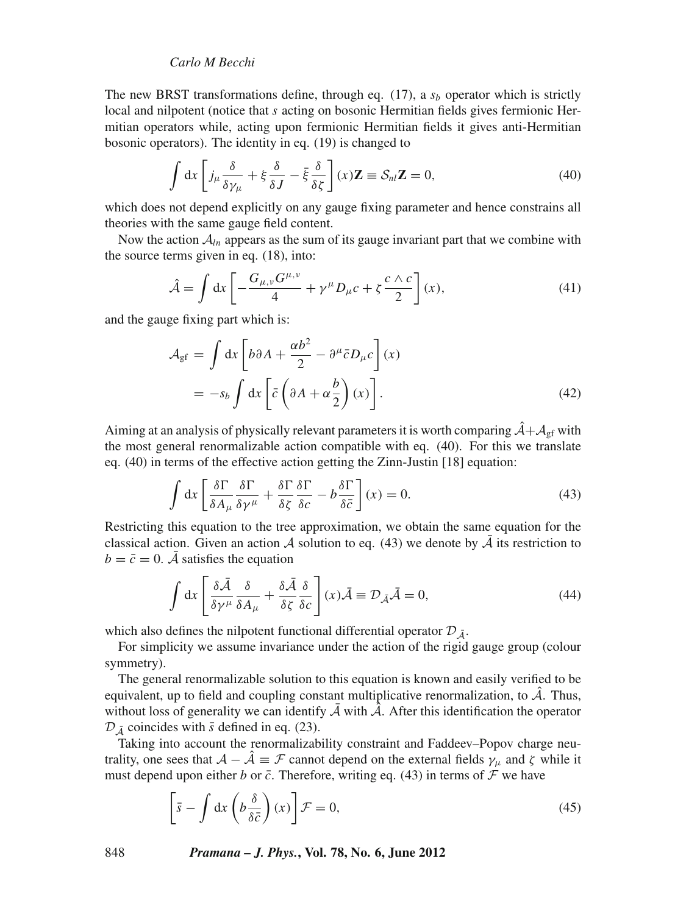The new BRST transformations define, through eq.  $(17)$ , a  $s<sub>b</sub>$  operator which is strictly local and nilpotent (notice that *s* acting on bosonic Hermitian fields gives fermionic Hermitian operators while, acting upon fermionic Hermitian fields it gives anti-Hermitian bosonic operators). The identity in eq. (19) is changed to

$$
\int dx \left[ j_{\mu} \frac{\delta}{\delta \gamma_{\mu}} + \xi \frac{\delta}{\delta J} - \bar{\xi} \frac{\delta}{\delta \zeta} \right] (x) \mathbf{Z} \equiv \mathcal{S}_{nl} \mathbf{Z} = 0, \tag{40}
$$

which does not depend explicitly on any gauge fixing parameter and hence constrains all theories with the same gauge field content.

Now the action  $A_{ln}$  appears as the sum of its gauge invariant part that we combine with the source terms given in eq. (18), into:

$$
\hat{\mathcal{A}} = \int dx \left[ -\frac{G_{\mu,\nu} G^{\mu,\nu}}{4} + \gamma^{\mu} D_{\mu} c + \zeta \frac{c \wedge c}{2} \right](x),\tag{41}
$$

and the gauge fixing part which is:

$$
\mathcal{A}_{gf} = \int dx \left[ b \partial A + \frac{\alpha b^2}{2} - \partial^{\mu} \bar{c} D_{\mu} c \right] (x)
$$

$$
= -s_b \int dx \left[ \bar{c} \left( \partial A + \alpha \frac{b}{2} \right) (x) \right]. \tag{42}
$$

Aiming at an analysis of physically relevant parameters it is worth comparing  $\hat{A} + A_{\text{cf}}$  with the most general renormalizable action compatible with eq. (40). For this we translate eq. (40) in terms of the effective action getting the Zinn-Justin [18] equation:

$$
\int dx \left[ \frac{\delta \Gamma}{\delta A_{\mu}} \frac{\delta \Gamma}{\delta \gamma^{\mu}} + \frac{\delta \Gamma}{\delta \zeta} \frac{\delta \Gamma}{\delta c} - b \frac{\delta \Gamma}{\delta \bar{c}} \right] (x) = 0.
$$
 (43)

Restricting this equation to the tree approximation, we obtain the same equation for the classical action. Given an action A solution to eq. (43) we denote by A its restriction to  $b = \bar{c} = 0$ .  $\bar{A}$  satisfies the equation

$$
\int dx \left[ \frac{\delta \bar{\mathcal{A}}}{\delta \gamma^{\mu}} \frac{\delta}{\delta A_{\mu}} + \frac{\delta \bar{\mathcal{A}}}{\delta \zeta} \frac{\delta}{\delta c} \right] (x) \bar{\mathcal{A}} \equiv \mathcal{D}_{\bar{\mathcal{A}}} \bar{\mathcal{A}} = 0, \tag{44}
$$

which also defines the nilpotent functional differential operator  $\mathcal{D}_{\bar{A}}$ .

For simplicity we assume invariance under the action of the rigid gauge group (colour symmetry).

The general renormalizable solution to this equation is known and easily verified to be equivalent, up to field and coupling constant multiplicative renormalization, to  $\hat{A}$ . Thus, without loss of generality we can identify  $\overline{A}$  with  $\overline{A}$ . After this identification the operator  $\mathcal{D}_{\bar{\mathcal{A}}}$  coincides with  $\bar{s}$  defined in eq. (23).

Taking into account the renormalizability constraint and Faddeev–Popov charge neutrality, one sees that  $A - \hat{A} = \mathcal{F}$  cannot depend on the external fields  $\gamma_{\mu}$  and  $\zeta$  while it must depend upon either *b* or  $\bar{c}$ . Therefore, writing eq. (43) in terms of  $\mathcal{F}$  we have

$$
\left[\bar{s} - \int dx \left(b \frac{\delta}{\delta \bar{c}}\right)(x)\right] \mathcal{F} = 0,\tag{45}
$$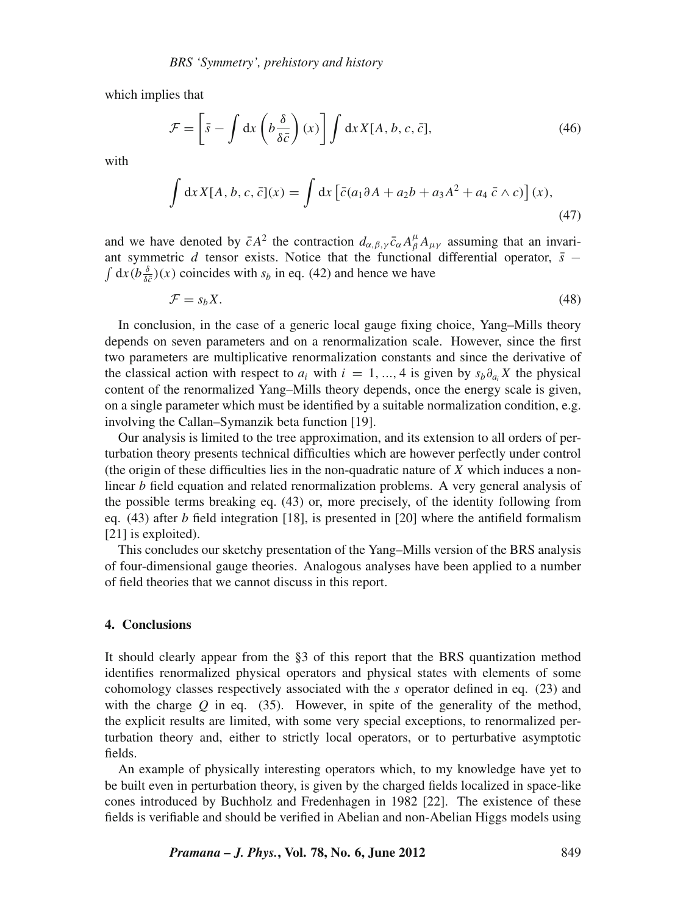which implies that

$$
\mathcal{F} = \left[\bar{s} - \int dx \left(b \frac{\delta}{\delta \bar{c}}\right)(x)\right] \int dx X[A, b, c, \bar{c}],\tag{46}
$$

with

$$
\int dx X[A, b, c, \bar{c}](x) = \int dx \left[ \bar{c}(a_1 \partial A + a_2 b + a_3 A^2 + a_4 \bar{c} \wedge c) \right](x),\tag{47}
$$

and we have denoted by  $\bar{c}A^2$  the contraction  $d_{\alpha,\beta,\gamma}\bar{c}_{\alpha}A_{\beta}^{\mu}A_{\mu\gamma}$  assuming that an invariant symmetric *d* tensor exists. Notice that the functional differential operator,  $\bar{s}$  −  $\int dx (b \frac{\delta}{\delta \bar{c}})(x)$  coincides with  $s_b$  in eq. (42) and hence we have

$$
\mathcal{F} = s_b X. \tag{48}
$$

In conclusion, in the case of a generic local gauge fixing choice, Yang–Mills theory depends on seven parameters and on a renormalization scale. However, since the first two parameters are multiplicative renormalization constants and since the derivative of the classical action with respect to  $a_i$  with  $i = 1, ..., 4$  is given by  $s_b \partial_a X$  the physical content of the renormalized Yang–Mills theory depends, once the energy scale is given, on a single parameter which must be identified by a suitable normalization condition, e.g. involving the Callan–Symanzik beta function [19].

Our analysis is limited to the tree approximation, and its extension to all orders of perturbation theory presents technical difficulties which are however perfectly under control (the origin of these difficulties lies in the non-quadratic nature of *X* which induces a nonlinear *b* field equation and related renormalization problems. A very general analysis of the possible terms breaking eq. (43) or, more precisely, of the identity following from eq. (43) after *b* field integration [18], is presented in [20] where the antifield formalism [21] is exploited).

This concludes our sketchy presentation of the Yang–Mills version of the BRS analysis of four-dimensional gauge theories. Analogous analyses have been applied to a number of field theories that we cannot discuss in this report.

#### **4. Conclusions**

It should clearly appear from the §3 of this report that the BRS quantization method identifies renormalized physical operators and physical states with elements of some cohomology classes respectively associated with the *s* operator defined in eq. (23) and with the charge *Q* in eq. (35). However, in spite of the generality of the method, the explicit results are limited, with some very special exceptions, to renormalized perturbation theory and, either to strictly local operators, or to perturbative asymptotic fields.

An example of physically interesting operators which, to my knowledge have yet to be built even in perturbation theory, is given by the charged fields localized in space-like cones introduced by Buchholz and Fredenhagen in 1982 [22]. The existence of these fields is verifiable and should be verified in Abelian and non-Abelian Higgs models using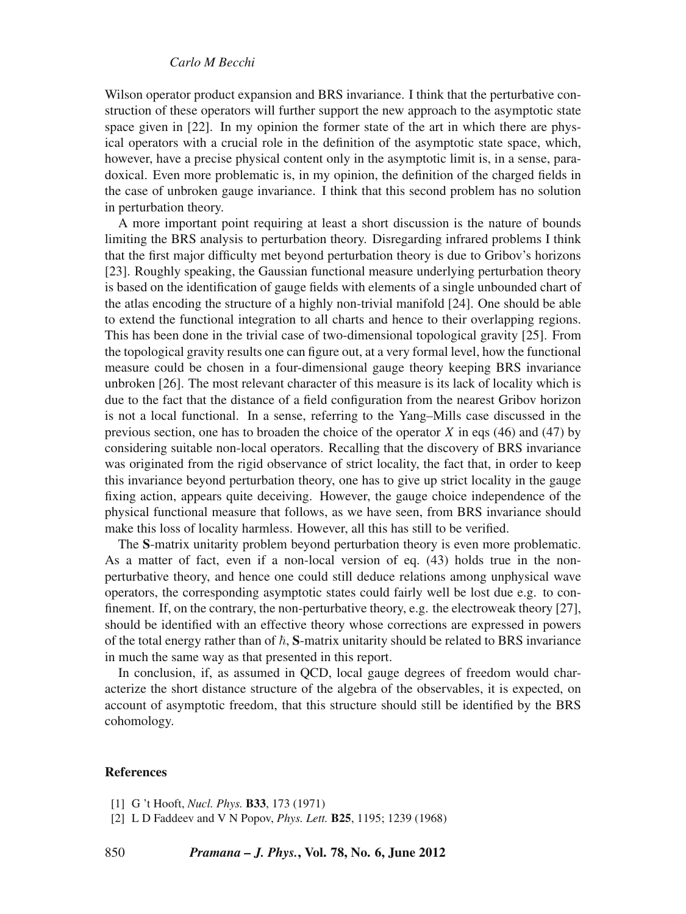Wilson operator product expansion and BRS invariance. I think that the perturbative construction of these operators will further support the new approach to the asymptotic state space given in [22]. In my opinion the former state of the art in which there are physical operators with a crucial role in the definition of the asymptotic state space, which, however, have a precise physical content only in the asymptotic limit is, in a sense, paradoxical. Even more problematic is, in my opinion, the definition of the charged fields in the case of unbroken gauge invariance. I think that this second problem has no solution in perturbation theory.

A more important point requiring at least a short discussion is the nature of bounds limiting the BRS analysis to perturbation theory. Disregarding infrared problems I think that the first major difficulty met beyond perturbation theory is due to Gribov's horizons [23]. Roughly speaking, the Gaussian functional measure underlying perturbation theory is based on the identification of gauge fields with elements of a single unbounded chart of the atlas encoding the structure of a highly non-trivial manifold [24]. One should be able to extend the functional integration to all charts and hence to their overlapping regions. This has been done in the trivial case of two-dimensional topological gravity [25]. From the topological gravity results one can figure out, at a very formal level, how the functional measure could be chosen in a four-dimensional gauge theory keeping BRS invariance unbroken [26]. The most relevant character of this measure is its lack of locality which is due to the fact that the distance of a field configuration from the nearest Gribov horizon is not a local functional. In a sense, referring to the Yang–Mills case discussed in the previous section, one has to broaden the choice of the operator *X* in eqs (46) and (47) by considering suitable non-local operators. Recalling that the discovery of BRS invariance was originated from the rigid observance of strict locality, the fact that, in order to keep this invariance beyond perturbation theory, one has to give up strict locality in the gauge fixing action, appears quite deceiving. However, the gauge choice independence of the physical functional measure that follows, as we have seen, from BRS invariance should make this loss of locality harmless. However, all this has still to be verified.

The **S**-matrix unitarity problem beyond perturbation theory is even more problematic. As a matter of fact, even if a non-local version of eq. (43) holds true in the nonperturbative theory, and hence one could still deduce relations among unphysical wave operators, the corresponding asymptotic states could fairly well be lost due e.g. to confinement. If, on the contrary, the non-perturbative theory, e.g. the electroweak theory [27], should be identified with an effective theory whose corrections are expressed in powers of the total energy rather than of  $\hbar$ , S-matrix unitarity should be related to BRS invariance in much the same way as that presented in this report.

In conclusion, if, as assumed in QCD, local gauge degrees of freedom would characterize the short distance structure of the algebra of the observables, it is expected, on account of asymptotic freedom, that this structure should still be identified by the BRS cohomology.

#### **References**

[2] L D Faddeev and V N Popov, *Phys. Lett.* **B25**, 1195; 1239 (1968)

<sup>[1]</sup> G 't Hooft, *Nucl. Phys.* **B33**, 173 (1971)